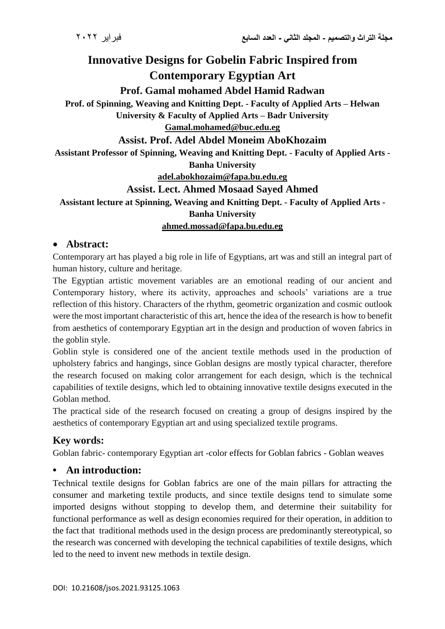# **Innovative Designs for Gobelin Fabric Inspired from Contemporary Egyptian Art**

**Prof. Gamal mohamed Abdel Hamid Radwan**

**Prof. of Spinning, Weaving and Knitting Dept. - Faculty of Applied Arts – Helwan** 

**University & Faculty of Applied Arts – Badr University**

**[Gamal.mohamed@buc.edu.eg](mailto:Gamal.mohamed@buc.edu.eg)**

**Assist. Prof. Adel Abdel Moneim AboKhozaim**

**Assistant Professor of Spinning, Weaving and Knitting Dept. - Faculty of Applied Arts - Banha University**

**adel.abokhozaim@fapa.bu.edu.eg**

## **Assist. Lect. Ahmed Mosaad Sayed Ahmed**

## **Assistant lecture at Spinning, Weaving and Knitting Dept. - Faculty of Applied Arts - Banha University ahmed.mossad@fapa.bu.edu.eg**

## **Abstract:**

Contemporary art has played a big role in life of Egyptians, art was and still an integral part of human history, culture and heritage.

The Egyptian artistic movement variables are an emotional reading of our ancient and Contemporary history, where its activity, approaches and schools' variations are a true reflection of this history. Characters of the rhythm, geometric organization and cosmic outlook were the most important characteristic of this art, hence the idea of the research is how to benefit from aesthetics of contemporary Egyptian art in the design and production of woven fabrics in the goblin style.

Goblin style is considered one of the ancient textile methods used in the production of upholstery fabrics and hangings, since Goblan designs are mostly typical character, therefore the research focused on making color arrangement for each design, which is the technical capabilities of textile designs, which led to obtaining innovative textile designs executed in the Goblan method.

The practical side of the research focused on creating a group of designs inspired by the aesthetics of contemporary Egyptian art and using specialized textile programs.

# **Key words:**

Goblan fabric- contemporary Egyptian art -color effects for Goblan fabrics - Goblan weaves

## **• An introduction:**

Technical textile designs for Goblan fabrics are one of the main pillars for attracting the consumer and marketing textile products, and since textile designs tend to simulate some imported designs without stopping to develop them, and determine their suitability for functional performance as well as design economies required for their operation, in addition to the fact that traditional methods used in the design process are predominantly stereotypical, so the research was concerned with developing the technical capabilities of textile designs, which led to the need to invent new methods in textile design.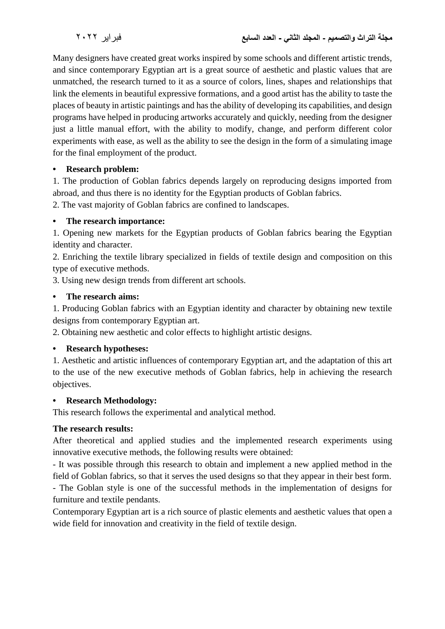Many designers have created great works inspired by some schools and different artistic trends, and since contemporary Egyptian art is a great source of aesthetic and plastic values that are unmatched, the research turned to it as a source of colors, lines, shapes and relationships that link the elements in beautiful expressive formations, and a good artist has the ability to taste the places of beauty in artistic paintings and has the ability of developing its capabilities, and design programs have helped in producing artworks accurately and quickly, needing from the designer just a little manual effort, with the ability to modify, change, and perform different color experiments with ease, as well as the ability to see the design in the form of a simulating image for the final employment of the product.

#### **• Research problem:**

1. The production of Goblan fabrics depends largely on reproducing designs imported from abroad, and thus there is no identity for the Egyptian products of Goblan fabrics.

2. The vast majority of Goblan fabrics are confined to landscapes.

#### **• The research importance:**

1. Opening new markets for the Egyptian products of Goblan fabrics bearing the Egyptian identity and character.

2. Enriching the textile library specialized in fields of textile design and composition on this type of executive methods.

3. Using new design trends from different art schools.

#### **• The research aims:**

1. Producing Goblan fabrics with an Egyptian identity and character by obtaining new textile designs from contemporary Egyptian art.

2. Obtaining new aesthetic and color effects to highlight artistic designs.

#### **• Research hypotheses:**

1. Aesthetic and artistic influences of contemporary Egyptian art, and the adaptation of this art to the use of the new executive methods of Goblan fabrics, help in achieving the research objectives.

#### **• Research Methodology:**

This research follows the experimental and analytical method.

#### **The research results:**

After theoretical and applied studies and the implemented research experiments using innovative executive methods, the following results were obtained:

- It was possible through this research to obtain and implement a new applied method in the field of Goblan fabrics, so that it serves the used designs so that they appear in their best form.

- The Goblan style is one of the successful methods in the implementation of designs for furniture and textile pendants.

Contemporary Egyptian art is a rich source of plastic elements and aesthetic values that open a wide field for innovation and creativity in the field of textile design.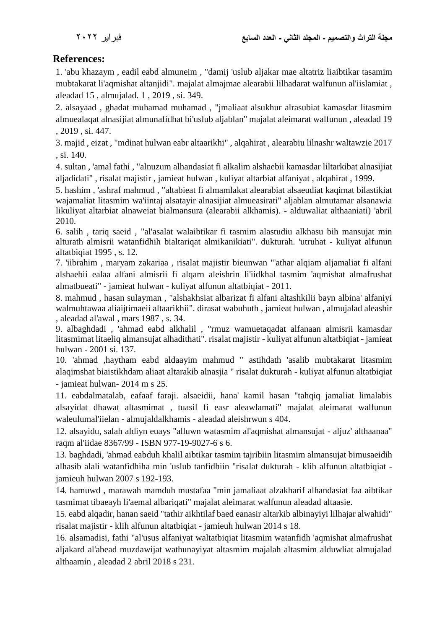## **References:**

1. 'abu khazaym , eadil eabd almuneim , "damij 'uslub aljakar mae altatriz liaibtikar tasamim mubtakarat li'aqmishat altanjidi". majalat almajmae alearabii lilhadarat walfunun al'iislamiat , aleadad 15 , almujalad. 1 , 2019 , si. 349.

2. alsayaad , ghadat muhamad muhamad , "jmaliaat alsukhur alrasubiat kamasdar litasmim almuealaqat alnasijiat almunafidhat bi'uslub aljablan" majalat aleimarat walfunun , aleadad 19 , 2019 , si. 447.

3. majid , eizat , "mdinat hulwan eabr altaarikhi" , alqahirat , alearabiu lilnashr waltawzie 2017 , si. 140.

4. sultan , 'amal fathi , "alnuzum alhandasiat fi alkalim alshaebii kamasdar liltarkibat alnasijiat aljadidati" , risalat majistir , jamieat hulwan , kuliyat altarbiat alfaniyat , alqahirat , 1999.

5. hashim , 'ashraf mahmud , "altabieat fi almamlakat alearabiat alsaeudiat kaqimat bilastikiat wajamaliat litasmim wa'iintaj alsatayir alnasijiat almueasirati" aljablan almutamar alsanawia likuliyat altarbiat alnaweiat bialmansura (alearabii alkhamis). - alduwaliat althaaniati) 'abril 2010.

6. salih , tariq saeid , "al'asalat walaibtikar fi tasmim alastudiu alkhasu bih mansujat min alturath almisrii watanfidhih bialtariqat almikanikiati". dukturah. 'utruhat - kuliyat alfunun altatbiqiat 1995 , s. 12.

7. 'iibrahim , maryam zakariaa , risalat majistir bieunwan "'athar alqiam aljamaliat fi alfani alshaebii ealaa alfani almisrii fi alqarn aleishrin li'iidkhal tasmim 'aqmishat almafrushat almatbueati" - jamieat hulwan - kuliyat alfunun altatbiqiat - 2011.

8. mahmud , hasan sulayman , "alshakhsiat albarizat fi alfani altashkilii bayn albina' alfaniyi walmuhtawaa aliaijtimaeii altaarikhii". dirasat wabuhuth , jamieat hulwan , almujalad aleashir , aleadad al'awal , mars 1987 , s. 34.

9. albaghdadi , 'ahmad eabd alkhalil , "rmuz wamuetaqadat alfanaan almisrii kamasdar litasmimat litaeliq almansujat alhadithati". risalat majistir - kuliyat alfunun altatbiqiat - jamieat hulwan - 2001 si. 137.

10. 'ahmad ,haytham eabd aldaayim mahmud " astihdath 'asalib mubtakarat litasmim alaqimshat biaistikhdam aliaat altarakib alnasjia " risalat dukturah - kuliyat alfunun altatbiqiat - jamieat hulwan- 2014 m s 25.

11. eabdalmatalab, eafaaf faraji. alsaeidii, hana' kamil hasan "tahqiq jamaliat limalabis alsayidat dhawat altasmimat , tuasil fi easr aleawlamati" majalat aleimarat walfunun waleulumal'iielan - almujaldalkhamis - aleadad aleishrwun s 404.

12. alsayidu, salah aldiyn euays "alluwn watasmim al'aqmishat almansujat - aljuz' althaanaa" raqm al'iidae 8367/99 - ISBN 977-19-9027-6 s 6.

13. baghdadi, 'ahmad eabduh khalil aibtikar tasmim tajribiin litasmim almansujat bimusaeidih alhasib alali watanfidhiha min 'uslub tanfidhiin "risalat dukturah - klih alfunun altatbiqiat jamieuh hulwan 2007 s 192-193.

14. hamuwd , marawah mamduh mustafaa "min jamaliaat alzakharif alhandasiat faa aibtikar tasmimat tibaeayh li'aemal albariqati" majalat aleimarat walfunun aleadad altaasie.

15. eabd alqadir, hanan saeid "tathir aikhtilaf baed eanasir altarkib albinayiyi lilhajar alwahidi" risalat majistir - klih alfunun altatbiqiat - jamieuh hulwan 2014 s 18.

16. alsamadisi, fathi "al'usus alfaniyat waltatbiqiat litasmim watanfidh 'aqmishat almafrushat aljakard al'abead muzdawijat wathunayiyat altasmim majalah altasmim alduwliat almujalad althaamin , aleadad 2 abril 2018 s 231.